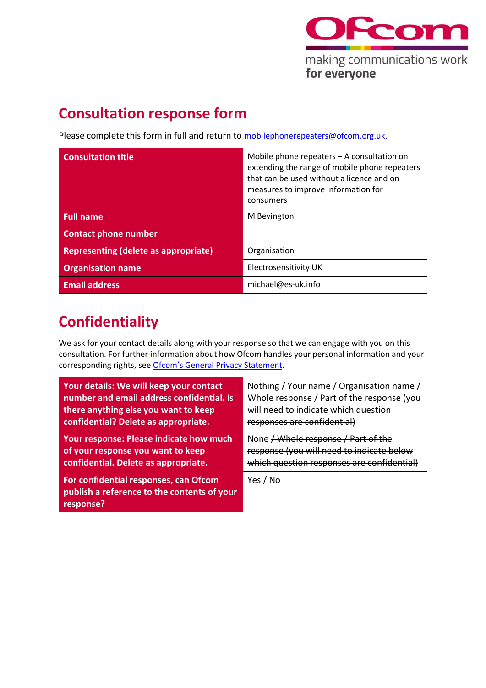

## **Consultation response form**

Please complete this form in full and return to [mobilephonerepeaters@ofcom.org.uk.](mailto:mobilephonerepeaters@ofcom.org.uk)

| <b>Consultation title</b>                   | Mobile phone repeaters - A consultation on<br>extending the range of mobile phone repeaters<br>that can be used without a licence and on<br>measures to improve information for<br>consumers |
|---------------------------------------------|----------------------------------------------------------------------------------------------------------------------------------------------------------------------------------------------|
| <b>Full name</b>                            | M Bevington                                                                                                                                                                                  |
| <b>Contact phone number</b>                 |                                                                                                                                                                                              |
| <b>Representing (delete as appropriate)</b> | Organisation                                                                                                                                                                                 |
| <b>Organisation name</b>                    | Electrosensitivity UK                                                                                                                                                                        |
| <b>Email address</b>                        | michael@es-uk.info                                                                                                                                                                           |

## **Confidentiality**

We ask for your contact details along with your response so that we can engage with you on this consultation. For further information about how Ofcom handles your personal information and your corresponding rights, see [Ofcom's General Privacy Statement](http://www.ofcom.org.uk/about-ofcom/foi-dp/general-privacy-statement).

| Your details: We will keep your contact                                                           | Nothing / Your name / Organisation name    |
|---------------------------------------------------------------------------------------------------|--------------------------------------------|
| number and email address confidential. Is                                                         | Whole response / Part of the response (you |
| there anything else you want to keep                                                              | will need to indicate which question       |
| confidential? Delete as appropriate.                                                              | responses are confidential)                |
| Your response: Please indicate how much                                                           | None / Whole response / Part of the        |
| of your response you want to keep                                                                 | response (you will need to indicate below  |
| confidential. Delete as appropriate.                                                              | which question responses are confidential) |
| For confidential responses, can Ofcom<br>publish a reference to the contents of your<br>response? | Yes / No                                   |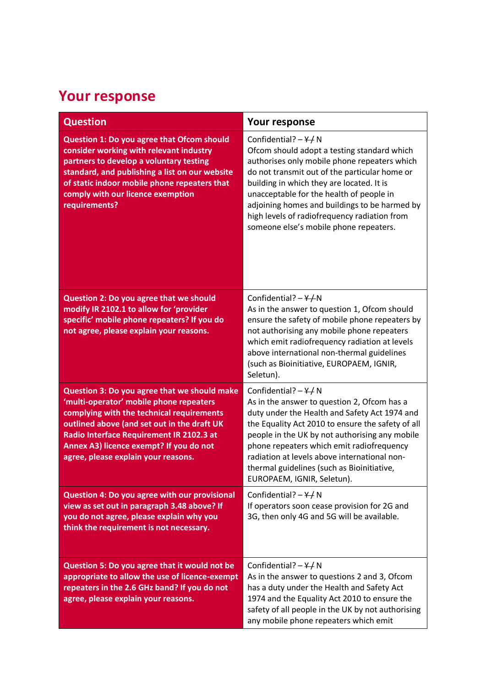## **Your response**

| <b>Question</b>                                                                                                                                                                                                                                                                                                   | Your response                                                                                                                                                                                                                                                                                                                                                                                                               |
|-------------------------------------------------------------------------------------------------------------------------------------------------------------------------------------------------------------------------------------------------------------------------------------------------------------------|-----------------------------------------------------------------------------------------------------------------------------------------------------------------------------------------------------------------------------------------------------------------------------------------------------------------------------------------------------------------------------------------------------------------------------|
| <b>Question 1: Do you agree that Ofcom should</b><br>consider working with relevant industry<br>partners to develop a voluntary testing<br>standard, and publishing a list on our website<br>of static indoor mobile phone repeaters that<br>comply with our licence exemption<br>requirements?                   | Confidential? $-\frac{\gamma}{\gamma}N$<br>Ofcom should adopt a testing standard which<br>authorises only mobile phone repeaters which<br>do not transmit out of the particular home or<br>building in which they are located. It is<br>unacceptable for the health of people in<br>adjoining homes and buildings to be harmed by<br>high levels of radiofrequency radiation from<br>someone else's mobile phone repeaters. |
| Question 2: Do you agree that we should<br>modify IR 2102.1 to allow for 'provider<br>specific' mobile phone repeaters? If you do<br>not agree, please explain your reasons.                                                                                                                                      | Confidential? $-\frac{4}{10}$ N<br>As in the answer to question 1, Ofcom should<br>ensure the safety of mobile phone repeaters by<br>not authorising any mobile phone repeaters<br>which emit radiofrequency radiation at levels<br>above international non-thermal guidelines<br>(such as Bioinitiative, EUROPAEM, IGNIR,<br>Seletun).                                                                                     |
| Question 3: Do you agree that we should make<br>'multi-operator' mobile phone repeaters<br>complying with the technical requirements<br>outlined above (and set out in the draft UK<br>Radio Interface Requirement IR 2102.3 at<br>Annex A3) licence exempt? If you do not<br>agree, please explain your reasons. | Confidential? $-\frac{Y}{I}N$<br>As in the answer to question 2, Ofcom has a<br>duty under the Health and Safety Act 1974 and<br>the Equality Act 2010 to ensure the safety of all<br>people in the UK by not authorising any mobile<br>phone repeaters which emit radiofrequency<br>radiation at levels above international non-<br>thermal guidelines (such as Bioinitiative,<br>EUROPAEM, IGNIR, Seletun).               |
| <b>Question 4: Do you agree with our provisional</b><br>view as set out in paragraph 3.48 above? If<br>you do not agree, please explain why you<br>think the requirement is not necessary.                                                                                                                        | Confidential? $-\frac{\gamma}{\gamma}N$<br>If operators soon cease provision for 2G and<br>3G, then only 4G and 5G will be available.                                                                                                                                                                                                                                                                                       |
| Question 5: Do you agree that it would not be<br>appropriate to allow the use of licence-exempt<br>repeaters in the 2.6 GHz band? If you do not<br>agree, please explain your reasons.                                                                                                                            | Confidential? $-\frac{Y}{I}N$<br>As in the answer to questions 2 and 3, Ofcom<br>has a duty under the Health and Safety Act<br>1974 and the Equality Act 2010 to ensure the<br>safety of all people in the UK by not authorising<br>any mobile phone repeaters which emit                                                                                                                                                   |